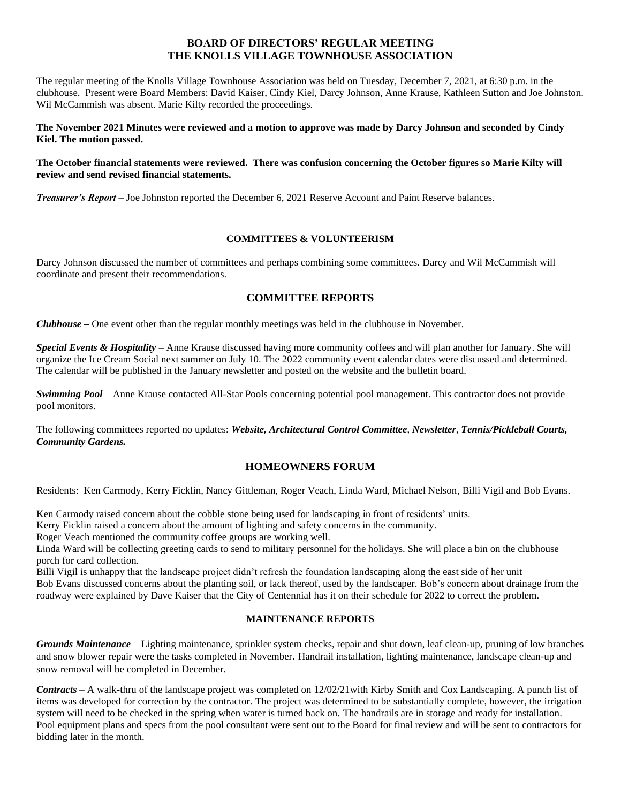## **BOARD OF DIRECTORS' REGULAR MEETING THE KNOLLS VILLAGE TOWNHOUSE ASSOCIATION**

The regular meeting of the Knolls Village Townhouse Association was held on Tuesday, December 7, 2021, at 6:30 p.m. in the clubhouse. Present were Board Members: David Kaiser, Cindy Kiel, Darcy Johnson, Anne Krause, Kathleen Sutton and Joe Johnston. Wil McCammish was absent. Marie Kilty recorded the proceedings.

**The November 2021 Minutes were reviewed and a motion to approve was made by Darcy Johnson and seconded by Cindy Kiel. The motion passed.**

### **The October financial statements were reviewed. There was confusion concerning the October figures so Marie Kilty will review and send revised financial statements.**

*Treasurer's Report* – Joe Johnston reported the December 6, 2021 Reserve Account and Paint Reserve balances.

### **COMMITTEES & VOLUNTEERISM**

Darcy Johnson discussed the number of committees and perhaps combining some committees. Darcy and Wil McCammish will coordinate and present their recommendations.

# **COMMITTEE REPORTS**

*Clubhouse* **–** One event other than the regular monthly meetings was held in the clubhouse in November.

*Special Events & Hospitality* – Anne Krause discussed having more community coffees and will plan another for January. She will organize the Ice Cream Social next summer on July 10. The 2022 community event calendar dates were discussed and determined. The calendar will be published in the January newsletter and posted on the website and the bulletin board.

*Swimming Pool* – Anne Krause contacted All-Star Pools concerning potential pool management. This contractor does not provide pool monitors.

The following committees reported no updates: *Website, Architectural Control Committee*, *Newsletter*, *Tennis/Pickleball Courts, Community Gardens.*

## **HOMEOWNERS FORUM**

Residents: Ken Carmody, Kerry Ficklin, Nancy Gittleman, Roger Veach, Linda Ward, Michael Nelson, Billi Vigil and Bob Evans.

Ken Carmody raised concern about the cobble stone being used for landscaping in front of residents' units.

Kerry Ficklin raised a concern about the amount of lighting and safety concerns in the community.

Roger Veach mentioned the community coffee groups are working well.

Linda Ward will be collecting greeting cards to send to military personnel for the holidays. She will place a bin on the clubhouse porch for card collection.

Billi Vigil is unhappy that the landscape project didn't refresh the foundation landscaping along the east side of her unit Bob Evans discussed concerns about the planting soil, or lack thereof, used by the landscaper. Bob's concern about drainage from the roadway were explained by Dave Kaiser that the City of Centennial has it on their schedule for 2022 to correct the problem.

### **MAINTENANCE REPORTS**

*Grounds Maintenance –* Lighting maintenance, sprinkler system checks, repair and shut down, leaf clean-up, pruning of low branches and snow blower repair were the tasks completed in November. Handrail installation, lighting maintenance, landscape clean-up and snow removal will be completed in December.

*Contracts* – A walk-thru of the landscape project was completed on 12/02/21with Kirby Smith and Cox Landscaping. A punch list of items was developed for correction by the contractor. The project was determined to be substantially complete, however, the irrigation system will need to be checked in the spring when water is turned back on. The handrails are in storage and ready for installation. Pool equipment plans and specs from the pool consultant were sent out to the Board for final review and will be sent to contractors for bidding later in the month.